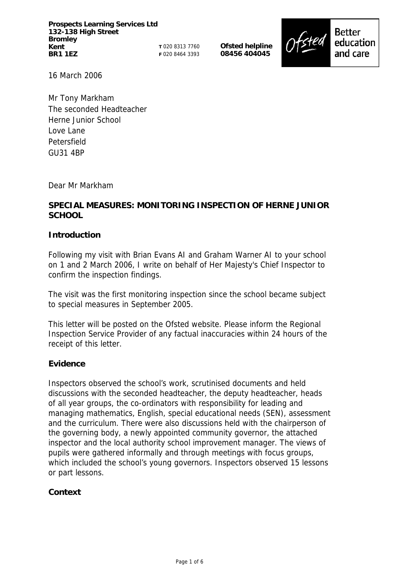**Prospects Learning Services Ltd 132-138 High Street Bromley Kent BR1 1EZ** 

**T** 020 8313 7760 **F** 020 8464 3393

**Ofsted helpline 08456 404045** 



16 March 2006

Mr Tony Markham The seconded Headteacher Herne Junior School Love Lane Petersfield GU31 4BP

Dear Mr Markham

# **SPECIAL MEASURES: MONITORING INSPECTION OF HERNE JUNIOR SCHOOL**

# **Introduction**

Following my visit with Brian Evans AI and Graham Warner AI to your school on 1 and 2 March 2006, I write on behalf of Her Majesty's Chief Inspector to confirm the inspection findings.

The visit was the first monitoring inspection since the school became subject to special measures in September 2005.

This letter will be posted on the Ofsted website. Please inform the Regional Inspection Service Provider of any factual inaccuracies within 24 hours of the receipt of this letter.

# **Evidence**

Inspectors observed the school's work, scrutinised documents and held discussions with the seconded headteacher, the deputy headteacher, heads of all year groups, the co-ordinators with responsibility for leading and managing mathematics, English, special educational needs (SEN), assessment and the curriculum. There were also discussions held with the chairperson of the governing body, a newly appointed community governor, the attached inspector and the local authority school improvement manager. The views of pupils were gathered informally and through meetings with focus groups, which included the school's young governors. Inspectors observed 15 lessons or part lessons.

# **Context**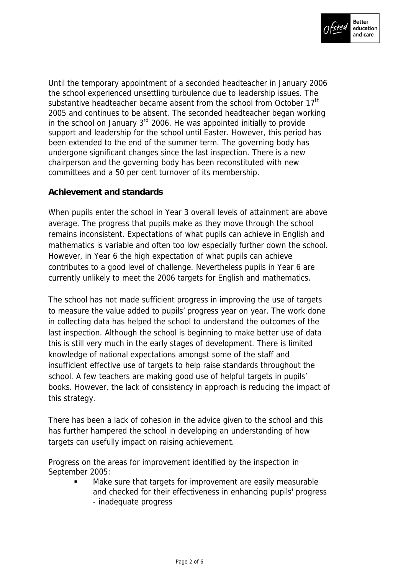

Until the temporary appointment of a seconded headteacher in January 2006 the school experienced unsettling turbulence due to leadership issues. The substantive headteacher became absent from the school from October 17<sup>th</sup> 2005 and continues to be absent. The seconded headteacher began working in the school on January  $3<sup>rd</sup>$  2006. He was appointed initially to provide support and leadership for the school until Easter. However, this period has been extended to the end of the summer term. The governing body has undergone significant changes since the last inspection. There is a new chairperson and the governing body has been reconstituted with new committees and a 50 per cent turnover of its membership.

# **Achievement and standards**

When pupils enter the school in Year 3 overall levels of attainment are above average. The progress that pupils make as they move through the school remains inconsistent. Expectations of what pupils can achieve in English and mathematics is variable and often too low especially further down the school. However, in Year 6 the high expectation of what pupils can achieve contributes to a good level of challenge. Nevertheless pupils in Year 6 are currently unlikely to meet the 2006 targets for English and mathematics.

The school has not made sufficient progress in improving the use of targets to measure the value added to pupils' progress year on year. The work done in collecting data has helped the school to understand the outcomes of the last inspection. Although the school is beginning to make better use of data this is still very much in the early stages of development. There is limited knowledge of national expectations amongst some of the staff and insufficient effective use of targets to help raise standards throughout the school. A few teachers are making good use of helpful targets in pupils' books. However, the lack of consistency in approach is reducing the impact of this strategy.

There has been a lack of cohesion in the advice given to the school and this has further hampered the school in developing an understanding of how targets can usefully impact on raising achievement.

Progress on the areas for improvement identified by the inspection in September 2005:

> Make sure that targets for improvement are easily measurable and checked for their effectiveness in enhancing pupils' progress - inadequate progress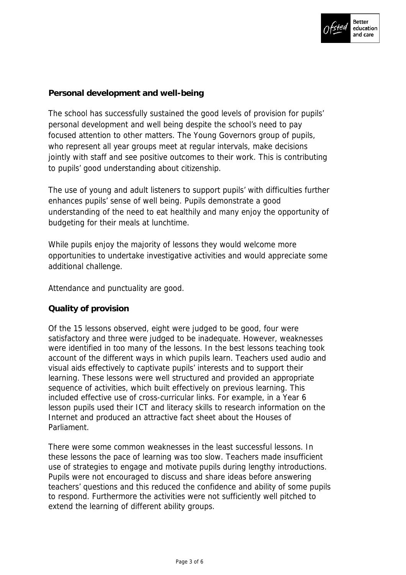

# **Personal development and well-being**

The school has successfully sustained the good levels of provision for pupils' personal development and well being despite the school's need to pay focused attention to other matters. The Young Governors group of pupils, who represent all year groups meet at regular intervals, make decisions jointly with staff and see positive outcomes to their work. This is contributing to pupils' good understanding about citizenship.

The use of young and adult listeners to support pupils' with difficulties further enhances pupils' sense of well being. Pupils demonstrate a good understanding of the need to eat healthily and many enjoy the opportunity of budgeting for their meals at lunchtime.

While pupils enjoy the majority of lessons they would welcome more opportunities to undertake investigative activities and would appreciate some additional challenge.

Attendance and punctuality are good.

# **Quality of provision**

Of the 15 lessons observed, eight were judged to be good, four were satisfactory and three were judged to be inadequate. However, weaknesses were identified in too many of the lessons. In the best lessons teaching took account of the different ways in which pupils learn. Teachers used audio and visual aids effectively to captivate pupils' interests and to support their learning. These lessons were well structured and provided an appropriate sequence of activities, which built effectively on previous learning. This included effective use of cross-curricular links. For example, in a Year 6 lesson pupils used their ICT and literacy skills to research information on the Internet and produced an attractive fact sheet about the Houses of Parliament.

There were some common weaknesses in the least successful lessons. In these lessons the pace of learning was too slow. Teachers made insufficient use of strategies to engage and motivate pupils during lengthy introductions. Pupils were not encouraged to discuss and share ideas before answering teachers' questions and this reduced the confidence and ability of some pupils to respond. Furthermore the activities were not sufficiently well pitched to extend the learning of different ability groups.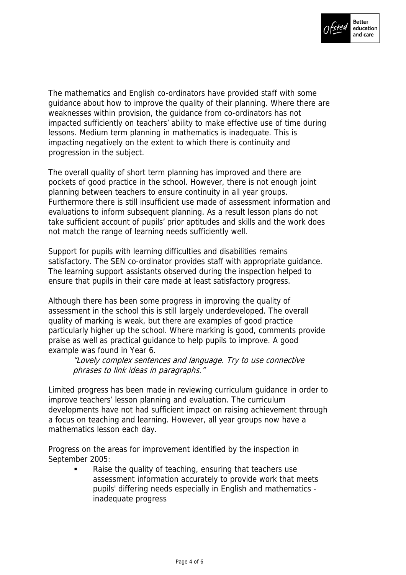

The mathematics and English co-ordinators have provided staff with some guidance about how to improve the quality of their planning. Where there are weaknesses within provision, the guidance from co-ordinators has not impacted sufficiently on teachers' ability to make effective use of time during lessons. Medium term planning in mathematics is inadequate. This is impacting negatively on the extent to which there is continuity and progression in the subject.

The overall quality of short term planning has improved and there are pockets of good practice in the school. However, there is not enough joint planning between teachers to ensure continuity in all year groups. Furthermore there is still insufficient use made of assessment information and evaluations to inform subsequent planning. As a result lesson plans do not take sufficient account of pupils' prior aptitudes and skills and the work does not match the range of learning needs sufficiently well.

Support for pupils with learning difficulties and disabilities remains satisfactory. The SEN co-ordinator provides staff with appropriate guidance. The learning support assistants observed during the inspection helped to ensure that pupils in their care made at least satisfactory progress.

Although there has been some progress in improving the quality of assessment in the school this is still largely underdeveloped. The overall quality of marking is weak, but there are examples of good practice particularly higher up the school. Where marking is good, comments provide praise as well as practical guidance to help pupils to improve. A good example was found in Year 6.

"Lovely complex sentences and language. Try to use connective phrases to link ideas in paragraphs."

Limited progress has been made in reviewing curriculum guidance in order to improve teachers' lesson planning and evaluation. The curriculum developments have not had sufficient impact on raising achievement through a focus on teaching and learning. However, all year groups now have a mathematics lesson each day.

Progress on the areas for improvement identified by the inspection in September 2005:

> Raise the quality of teaching, ensuring that teachers use assessment information accurately to provide work that meets pupils' differing needs especially in English and mathematics inadequate progress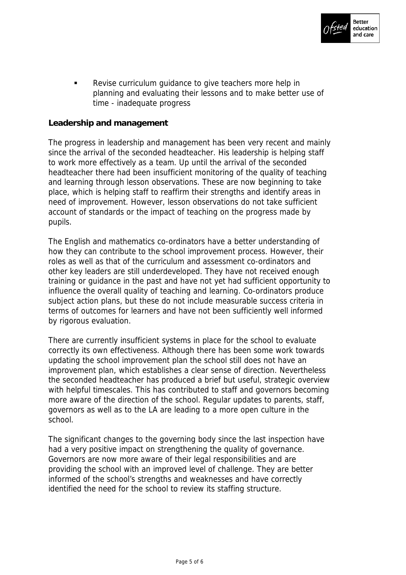

**EXECT:** Revise curriculum quidance to give teachers more help in planning and evaluating their lessons and to make better use of time - inadequate progress

#### **Leadership and management**

The progress in leadership and management has been very recent and mainly since the arrival of the seconded headteacher. His leadership is helping staff to work more effectively as a team. Up until the arrival of the seconded headteacher there had been insufficient monitoring of the quality of teaching and learning through lesson observations. These are now beginning to take place, which is helping staff to reaffirm their strengths and identify areas in need of improvement. However, lesson observations do not take sufficient account of standards or the impact of teaching on the progress made by pupils.

The English and mathematics co-ordinators have a better understanding of how they can contribute to the school improvement process. However, their roles as well as that of the curriculum and assessment co-ordinators and other key leaders are still underdeveloped. They have not received enough training or guidance in the past and have not yet had sufficient opportunity to influence the overall quality of teaching and learning. Co-ordinators produce subject action plans, but these do not include measurable success criteria in terms of outcomes for learners and have not been sufficiently well informed by rigorous evaluation.

There are currently insufficient systems in place for the school to evaluate correctly its own effectiveness. Although there has been some work towards updating the school improvement plan the school still does not have an improvement plan, which establishes a clear sense of direction. Nevertheless the seconded headteacher has produced a brief but useful, strategic overview with helpful timescales. This has contributed to staff and governors becoming more aware of the direction of the school. Regular updates to parents, staff, governors as well as to the LA are leading to a more open culture in the school.

The significant changes to the governing body since the last inspection have had a very positive impact on strengthening the quality of governance. Governors are now more aware of their legal responsibilities and are providing the school with an improved level of challenge. They are better informed of the school's strengths and weaknesses and have correctly identified the need for the school to review its staffing structure.